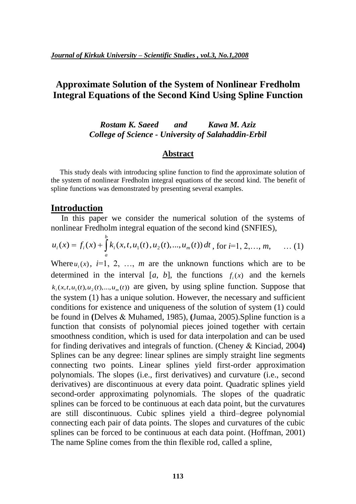# **Approximate Solution of the System of Nonlinear Fredholm Integral Equations of the Second Kind Using Spline Function**

## *Rostam K. Saeed and Kawa M. Aziz College of Science - University of Salahaddin-Erbil*

#### **Abstract**

 This study deals with introducing spline function to find the approximate solution of the system of nonlinear Fredholm integral equations of the second kind. The benefit of spline functions was demonstrated by presenting several examples.

### **Introduction**

 In this paper we consider the numerical solution of the systems of nonlinear Fredholm integral equation of the second kind (SNFIES),

$$
u_i(x) = f_i(x) + \int_a^b k_i(x, t, u_1(t), u_2(t), ..., u_m(t)) dt
$$
, for  $i=1, 2, ..., m$ , ... (1)

Where  $u_i(x)$ ,  $i=1, 2, ..., m$  are the unknown functions which are to be determined in the interval  $[a, b]$ , the functions  $f_i(x)$  and the kernels  $k_i(x, t, u_1(t), u_2(t), \dots, u_m(t))$  are given, by using spline function. Suppose that the system (1) has a unique solution. However, the necessary and sufficient conditions for existence and uniqueness of the solution of system (1) could be found in **(**Delves & Muhamed, 1985), **(**Jumaa, 2005).Spline function is a function that consists of polynomial pieces joined together with certain smoothness condition, which is used for data interpolation and can be used for finding derivatives and integrals of function. (Cheney & Kinciad, 2004**)** Splines can be any degree: linear splines are simply straight line segments connecting two points. Linear splines yield first-order approximation polynomials. The slopes (i.e., first derivatives) and curvature (i.e., second derivatives) are discontinuous at every data point. Quadratic splines yield second-order approximating polynomials. The slopes of the quadratic splines can be forced to be continuous at each data point, but the curvatures are still discontinuous. Cubic splines yield a third–degree polynomial connecting each pair of data points. The slopes and curvatures of the cubic splines can be forced to be continuous at each data point. (Hoffman, 2001) The name Spline comes from the thin flexible rod, called a spline,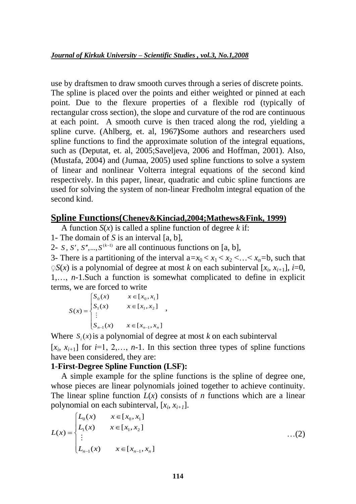use by draftsmen to draw smooth curves through a series of discrete points. The spline is placed over the points and either weighted or pinned at each point. Due to the flexure properties of a flexible rod (typically of rectangular cross section), the slope and curvature of the rod are continuous at each point. A smooth curve is then traced along the rod, yielding a spline curve. (Ahlberg, et. al, 1967**)**Some authors and researchers used spline functions to find the approximate solution of the integral equations, such as (Deputat, et. al, 2005;Saveljeva, 2006 and Hoffman, 2001). Also, (Mustafa, 2004) and (Jumaa, 2005) used spline functions to solve a system of linear and nonlinear Volterra integral equations of the second kind respectively. In this paper, linear, quadratic and cubic spline functions are used for solving the system of non-linear Fredholm integral equation of the second kind.

## **Spline Functions(Cheney&Kinciad,2004;Mathews&Fink, 1999)**

A function  $S(x)$  is called a spline function of degree k if:

1- The domain of *S* is an interval [a, b],

2- *S*, *S'*, *S''*, ...,  $S^{(k-1)}$  are all continuous functions on [a, b],

3- There is a partitioning of the interval  $a=x_0 < x_1 < x_2 < ... < x_n=b$ , such that  $\sqrt{S(x)}$  is a polynomial of degree at most *k* on each subinterval  $[x_i, x_{i+1}]$ , *i*=0, 1,…, *n*-1.Such a function is somewhat complicated to define in explicit terms, we are forced to write

$$
S(x) = \begin{cases} S_0(x) & x \in [x_0, x_1] \\ S_1(x) & x \in [x_1, x_2] \\ \vdots & \\ S_{n-1}(x) & x \in [x_{n-1}, x_n] \end{cases}
$$

Where  $S_i(x)$  is a polynomial of degree at most *k* on each subinterval  $[x_i, x_{i+1}]$  for  $i=1, 2, \ldots, n-1$ . In this section three types of spline functions have been considered, they are:

## **1**-**First-Degree Spline Function (LSF):**

 A simple example for the spline functions is the spline of degree one, whose pieces are linear polynomials joined together to achieve continuity. The linear spline function  $L(x)$  consists of *n* functions which are a linear polynomial on each subinterval,  $[x_i, x_{i+1}]$ .

$$
L(x) = \begin{cases} L_0(x) & x \in [x_0, x_1] \\ L_1(x) & x \in [x_1, x_2] \\ \vdots & \vdots \\ L_{n-1}(x) & x \in [x_{n-1}, x_n] \end{cases}
$$
...(2)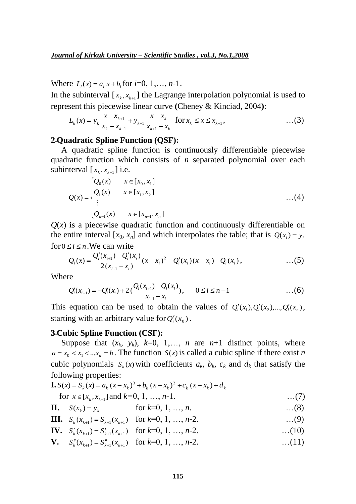Where  $L_i(x) = a_i x + b_i$  for  $i=0, 1, ..., n-1$ .

In the subinterval  $[x_k, x_{k+1}]$  the Lagrange interpolation polynomial is used to represent this piecewise linear curve **(**Cheney & Kinciad, 2004**)**:

$$
L_{k}(x) = y_{k} \frac{x - x_{k+1}}{x_{k} - x_{k+1}} + y_{k+1} \frac{x - x_{k}}{x_{k+1} - x_{k}} \text{ for } x_{k} \leq x \leq x_{k+1}, \qquad ...(3)
$$

#### **2**ـ**Quadratic Spline Function (QSF):**

 A quadratic spline function is continuously differentiable piecewise quadratic function which consists of *n* separated polynomial over each subinterval  $[x_k, x_{k+1}]$  i.e.

$$
Q(x) = \begin{cases} Q_0(x) & x \in [x_0, x_1] \\ Q_1(x) & x \in [x_1, x_2] \\ \vdots \\ Q_{n-1}(x) & x \in [x_{n-1}, x_n] \end{cases} \tag{4}
$$

 $Q(x)$  is a piecewise quadratic function and continuously differentiable on the entire interval [ $x_0$ ,  $x_n$ ] and which interpolates the table; that is  $Q(x_i) = y_i$ for  $0 \le i \le n$ . We can write

$$
Q_i(x) = \frac{Q_i'(x_{i+1}) - Q_i'(x_i)}{2(x_{i+1} - x_i)} (x - x_i)^2 + Q_i'(x_i)(x - x_i) + Q_i(x_i), \qquad ...(5)
$$

Where

$$
Q'_{i}(x_{i+1}) = -Q'_{i}(x_{i}) + 2\left(\frac{Q_{i}(x_{i+1}) - Q_{i}(x_{i})}{x_{i+1} - x_{i}}\right), \qquad 0 \leq i \leq n-1 \qquad \qquad \dots (6)
$$

This equation can be used to obtain the values of  $Q'_i(x_1), Q'_i(x_2),...,Q'_i(x_n)$ , starting with an arbitrary value for  $Q_i'(x_0)$ .

#### **3**ـ**Cubic Spline Function (CSF):**

Suppose that  $(x_k, y_k)$ ,  $k=0, 1,..., n$  are  $n+1$  distinct points, where  $a = x_0 < x_1 < ... x_n = b$ . The function  $S(x)$  is called a cubic spline if there exist *n* cubic polynomials  $S_k(x)$  with coefficients  $a_k$ ,  $b_k$ ,  $c_k$  and  $d_k$  that satisfy the following properties:

**I.** 
$$
S(x) = S_k(x) = a_k (x - x_k)^3 + b_k (x - x_k)^2 + c_k (x - x_k) + d_k
$$
  
for  $x \in [x_k, x_{k+1}]$  and  $k=0, 1, ..., n-1$ .

- **II.**  $S(x_k) = y_k$  for  $k=0, 1, ..., n$ . …(8)
- **III.**  $S_k(x_{k+1}) = S_{k+1}(x_{k+1})$  for  $k=0, 1, ..., n-2$ . …(9)

**IV.** 
$$
S'_k(x_{k+1}) = S'_{k+1}(x_{k+1})
$$
 for  $k=0, 1, ..., n-2$ . ...(10)

**V.**  $S_k''(x_{k+1}) = S_{k+1}''(x_{k+1})$  for  $k=0, 1, ..., n-2$ . …(11)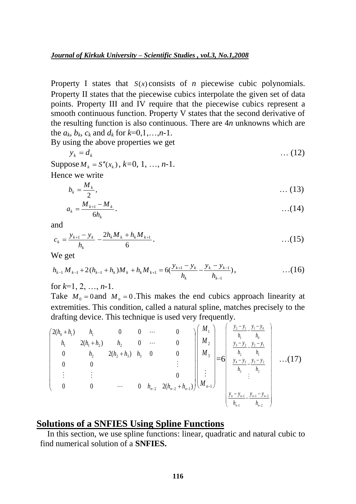Property I states that  $S(x)$  consists of *n* piecewise cubic polynomials. Property II states that the piecewise cubics interpolate the given set of data points. Property III and IV require that the piecewise cubics represent a smooth continuous function. Property V states that the second derivative of the resulting function is also continuous. There are 4*n* unknowns which are the  $a_k$ ,  $b_k$ ,  $c_k$  and  $d_k$  for  $k=0,1,...,n-1$ .

By using the above properties we get

$$
y_k = d_k \tag{12}
$$

Suppose  $M_k = S''(x_k)$ ,  $k=0, 1, ..., n-1$ . Hence we write

$$
b_k = \frac{M_k}{2}, \qquad \qquad \dots (13)
$$

$$
a_k = \frac{M_{k+1} - M_k}{6h_k}.
$$
 (14)

and

$$
c_k = \frac{y_{k+1} - y_k}{h_k} - \frac{2h_k M_k + h_k M_{k+1}}{6}.
$$
 (15)

We get

$$
h_{k-1} M_{k-1} + 2(h_{k-1} + h_k) M_k + h_k M_{k+1} = 6(\frac{y_{k+1} - y_k}{h_k} - \frac{y_k - y_{k-1}}{h_{k-1}}), \qquad \qquad \dots (16)
$$

for *k*=1, 2, …, *n*-1.

Take  $M_0 = 0$  and  $M_n = 0$ . This makes the end cubics approach linearity at extremities. This condition, called a natural spline, matches precisely to the drafting device. This technique is used very frequently.

$$
\begin{pmatrix}\n2(h_0 + h_1) & h_1 & 0 & 0 & \cdots & 0 \\
h_1 & 2(h_1 + h_2) & h_2 & 0 & \cdots & 0 \\
0 & h_2 & 2(h_2 + h_3) & h_3 & 0 & 0 \\
\vdots & \vdots & \vdots & & \vdots \\
0 & 0 & \cdots & 0 & h_{n-2} & 2(h_{n-2} + h_{n-1})\n\end{pmatrix}\n\begin{pmatrix}\nM_1 \\
M_2 \\
M_3 \\
\vdots \\
M_{n-1}\n\end{pmatrix}\n=\n\begin{pmatrix}\n\frac{y_2 - y_1}{h_1} - \frac{y_1 - y_0}{h_0} \\
\frac{y_3 - y_2}{h_2} - \frac{y_2 - y_1}{h_1} \\
\frac{y_4 - y_3}{h_3} - \frac{y_3 - y_2}{h_2} \\
\vdots \\
\frac{y_n - y_{n-1}}{h_{n-1}} - \frac{y_{n-1}}{h_{n-2}}\n\end{pmatrix}\n\quad \dots (17)
$$

# **Solutions of a SNFIES Using Spline Functions**

In this section, we use spline functions: linear, quadratic and natural cubic to find numerical solution of a **SNFIES.**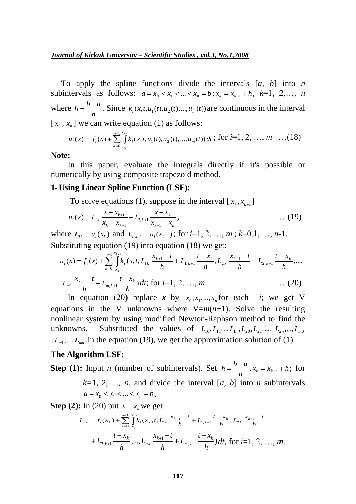To apply the spline functions divide the intervals [*a, b*] into *n* subintervals as follows:  $a = x_0 < x_1 < ... < x_n = b$ ;  $x_k = x_{k-1} + h$ ,  $k=1, 2,..., n$ where *n*  $h = \frac{b-a}{a}$ . Since  $k_i(x, t, u_1(t), u_2(t), ..., u_m(t))$  are continuous in the interval  $[x_0, x_n]$  we can write equation (1) as follows:

$$
u_i(x) = f_i(x) + \sum_{k=0}^{n-1} \int_{x_k}^{x_{k+1}} k_i(x, t, u_1(t), u_2(t), ..., u_m(t)) dt
$$
; for  $i=1, 2, ..., m$  ... (18)

**Note:** 

In this paper, evaluate the integrals directly if it's possible or numerically by using composite trapezoid method.

#### **1**ـ **Using Linear Spline Function (LSF):**

To solve equations (1), suppose in the interval  $[x_k, x_{k+1}]$ 

$$
u_i(x) = L_{ik} \frac{x - x_{k+1}}{x_k - x_{k+1}} + L_{i,k+1} \frac{x - x_k}{x_{k+1} - x_k}, \qquad \qquad \dots (19)
$$

where  $L_{ik} = u_i(x_k)$  and  $L_{i,k+1} = u_i(x_{k+1})$ ; for  $i=1, 2, ..., m$ ;  $k=0,1, ..., n-1$ . Substituting equation (19) into equation (18) we get:

$$
u_i(x) = f_i(x) + \sum_{k=0}^{n-1} \int_{x_k}^{x_{k+1}} k_i(x, t, L_{1k} \frac{x_{k+1} - t}{h} + L_{1, k+1} \frac{t - x_k}{h}, L_{2k} \frac{x_{k+1} - t}{h} + L_{2, k+1} \frac{t - x_k}{h}, ...,
$$
  

$$
L_{mk} \frac{x_{k+1} - t}{h} + L_{m, k+1} \frac{t - x_k}{h} dt; \text{ for } i = 1, 2, ..., m.
$$
...(20)

In equation (20) replace *x* by  $x_0, x_1, ..., x_n$  for each *i*; we get V equations in the V unknowns where  $V=m(n+1)$ . Solve the resulting nonlinear system by using modified Newton-Raphson method to find the unknowns. Substituted the values of  $L_{10}, L_{11},...L_{1n}, L_{20}, L_{21},..., L_{2n},...,L_{m0}$  $L_{m1},..., L_{mn}$  in the equation (19), we get the approximation solution of (1).

#### **The Algorithm LSF:**

**Step (1):** Input *n* (number of subintervals). Set *n*  $h = \frac{b-a}{a}$ ,  $x_k = x_{k-1} + h$ ; for  $k=1, 2, ..., n$ , and divide the interval [a, b] into *n* subintervals  $a = x_0 < x_1 < ... < x_n = b$ .

**Step** (2): In (20) put  $x = x_k$  we get

$$
L_{ik} = f_i(x_k) + \sum_{k=0}^{n-1} \int_{x_k}^{x_{k+1}} k_i(x_k, t, L_{1k} \frac{x_{k+1} - t}{h} + L_{1,k+1} \frac{t - x_k}{h}, L_{2k} \frac{x_{k+1} - t}{h}
$$
  
+  $L_{2,k+1} \frac{t - x_k}{h}, ..., L_{mk} \frac{x_{k+1} - t}{h} + L_{m,k+1} \frac{t - x_k}{h} dt$ , for  $i=1, 2, ..., m$ .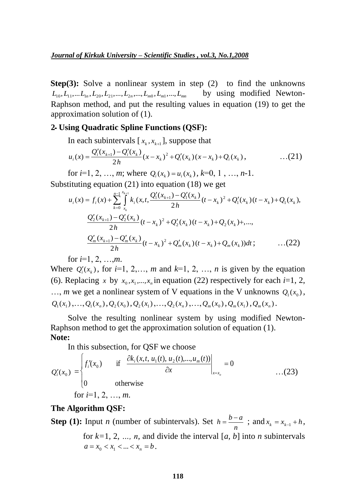**Step(3):** Solve a nonlinear system in step (2) to find the unknowns  $L_{10}, L_{11},...L_{1n}, L_{20}, L_{21},..., L_{2n},..., L_{m0}, L_{m1},..., L_{mn}$ by using modified Newton-Raphson method, and put the resulting values in equation (19) to get the approximation solution of (1).

#### **2ـ Using Quadratic Spline Functions (QSF):**

In each subintervals  $[x_k, x_{k+1}]$ , suppose that

$$
u_i(x) = \frac{Q_i'(x_{k+1}) - Q_i'(x_k)}{2h}(x - x_k)^2 + Q_i'(x_k)(x - x_k) + Q_i(x_k), \qquad \qquad \dots (21)
$$

for  $i=1, 2, ..., m$ ; where  $Q_i(x_k) = u_i(x_k)$ ,  $k=0, 1, ..., n-1$ . Substituting equation (21) into equation (18) we get

$$
u_i(x) = f_i(x) + \sum_{k=0}^{n-1} \int_{x_k}^{x_{k+1}} k_i(x, t, \frac{Q_1'(x_{k+1}) - Q_1'(x_k)}{2h} (t - x_k)^2 + Q_1'(x_k)(t - x_k) + Q_1(x_k),
$$
  

$$
\frac{Q_2'(x_{k+1}) - Q_2'(x_k)}{2h} (t - x_k)^2 + Q_2'(x_k)(t - x_k) + Q_2(x_k) + \dots,
$$
  

$$
\frac{Q_m'(x_{k+1}) - Q_m'(x_k)}{2h} (t - x_k)^2 + Q_m'(x_k)(t - x_k) + Q_m(x_k) dt; \qquad \dots (22)
$$

for *i*=1, 2, …,*m*.

Where  $Q_i(x_k)$ , for  $i=1, 2, \ldots, m$  and  $k=1, 2, \ldots, n$  is given by the equation (6). Replacing *x* by  $x_0, x_1, \ldots, x_n$  in equation (22) respectively for each *i*=1, 2, ..., *m* we get a nonlinear system of V equations in the V unknowns  $Q_1(x_0)$ ,  $Q_1(x_1),...,Q_1(x_n),Q_2(x_0),Q_2(x_1),...,Q_2(x_n),...,Q_m(x_0),Q_m(x_1),Q_m(x_n).$ 

Solve the resulting nonlinear system by using modified Newton-Raphson method to get the approximation solution of equation (1). **Note:** 

In this subsection, for QSF we choose

$$
Q'_{i}(x_{0}) = \begin{cases} f'_{i}(x_{0}) & \text{if } \frac{\partial k_{i}(x,t, u_{1}(t), u_{2}(t),..., u_{m}(t))}{\partial x} \Big|_{x=x_{0}} = 0\\ 0 & \text{otherwise} \end{cases}
$$
...(23)  
for *i*=1, 2, ..., *m*.

#### **The Algorithm QSF:**

**Step (1):** Input *n* (number of subintervals). Set *n*  $h = \frac{b-a}{a}$ ; and  $x_k = x_{k-1} + h$ , for  $k=1, 2, ..., n$ , and divide the interval [a, b] into *n* subintervals  $a = x_0 < x_1 < ... < x_n = b$ .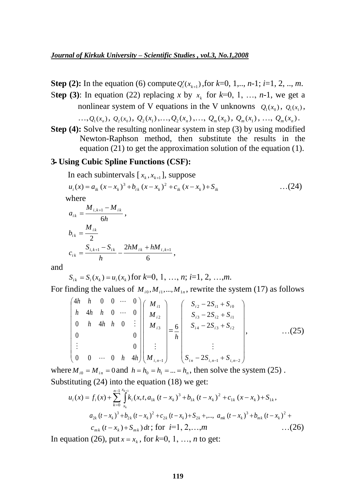**Step (2):** In the equation (6) compute  $Q_i^r(x_{k+1})$ , for  $k=0, 1, ..., n-1$ ;  $i=1, 2, ..., m$ .

Step (3): In equation (22) replacing *x* by  $x_k$  for  $k=0, 1, ..., n-1$ , we get a nonlinear system of V equations in the V unknowns  $Q_1(x_0)$ ,  $Q_1(x_1)$ ,

...,  $Q_1(x_n)$ ,  $Q_2(x_0)$ ,  $Q_2(x_1)$ ,...,  $Q_2(x_n)$ ,...,  $Q_m(x_0)$ ,  $Q_m(x_1)$ , ...,  $Q_m(x_n)$ .

**Step (4):** Solve the resulting nonlinear system in step (3) by using modified Newton-Raphson method, then substitute the results in the equation (21) to get the approximation solution of the equation (1).

#### **3ـ Using Cubic Spline Functions (CSF):**

 $=\frac{S_{i,k+1}-S_{ik}}{S_{i,k}}-\frac{2n\pi}{s_{i,k}+n\pi i_{k}}$ 

 $c_{ik} = \frac{b_{i,k+1} - b_{ik}}{l} - \frac{b_{i,k} + b_{i,k+1}}{l}$ 

*h*

In each subintervals  $[x_k, x_{k+1}]$ , suppose

$$
u_i(x) = a_{ik} (x - x_k)^3 + b_{ik} (x - x_k)^2 + c_{ik} (x - x_k) + S_{ik}
$$
...(24)  
where  

$$
a_{ik} = \frac{M_{i,k+1} - M_{ik}}{6h},
$$

$$
b_{ik} = \frac{M_{ik}}{2}
$$

$$
c_{ik} = \frac{S_{i,k+1} - S_{ik}}{2} - \frac{2hM_{ik} + hM_{i,k+1}}{2},
$$

and

*i k*

$$
S_{ik} = S_i(x_k) = u_i(x_k)
$$
 for  $k=0, 1, ..., n; i=1, 2, ..., m$ .

6

For finding the values of  $M_{i0}$ ,  $M_{i1}$ ,  $M_{1n}$ , rewrite the system (17) as follows

$$
\begin{pmatrix}\n4h & h & 0 & 0 & \cdots & 0 \\
h & 4h & h & 0 & \cdots & 0 \\
0 & h & 4h & h & 0 & \vdots \\
0 & & & & & 0 \\
\vdots & & & & & 0 \\
0 & & & & & 0 \\
\vdots & & & & & 0 \\
0 & 0 & \cdots & 0 & h & 4h\n\end{pmatrix}\n\begin{pmatrix}\nM_{i1} \\
M_{i2} \\
M_{i3} \\
\vdots \\
M_{i,n-1}\n\end{pmatrix}\n=\n\begin{pmatrix}\nS_{i2} - 2S_{i1} + S_{i0} \\
S_{i3} - 2S_{i2} + S_{i1} \\
S_{i4} - 2S_{i3} + S_{i2} \\
\vdots \\
S_{in} - 2S_{i,n-1} + S_{i,n-2}\n\end{pmatrix},\n\tag{25}
$$

where  $M_{i0} = M_{i n} = 0$  and  $h = h_0 = h_1 = ... = h_n$ , then solve the system (25). Substituting (24) into the equation (18) we get:

$$
u_i(x) = f_i(x) + \sum_{k=0}^{n-1} \int_{x_k}^{x_{k+1}} k_i (x, t, a_{1k} (t - x_k)^3 + b_{1k} (t - x_k)^2 + c_{1k} (x - x_k) + S_{1k},
$$
  
\n
$$
a_{2k} (t - x_k)^3 + b_{2k} (t - x_k)^2 + c_{2k} (t - x_k) + S_{2k} + \dots, a_{mk} (t - x_k)^3 + b_{mk} (t - x_k)^2 + c_{mk} (t - x_k) + S_{mk} dt; \text{ for } i = 1, 2, \dots, m
$$
...(26)

In equation (26), put  $x = x_k$ , for  $k=0, 1, ..., n$  to get: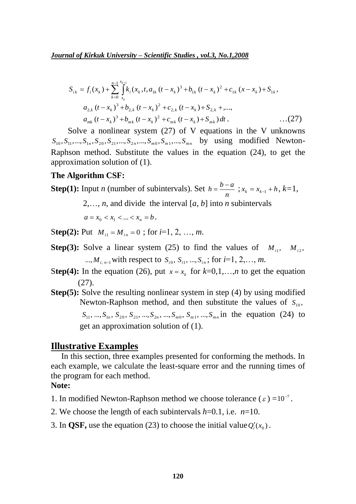*Journal of Kirkuk University – Scientific Studies , vol.3, No.1,2008*

$$
S_{ik} = f_i(x_k) + \sum_{k=0}^{n-1} \int_{x_k}^{x_{k+1}} k_i(x_k, t, a_{1k} (t - x_k)^3 + b_{1k} (t - x_k)^2 + c_{1k} (x - x_k) + S_{1k},
$$
  
\n
$$
a_{2,k} (t - x_k)^3 + b_{2,k} (t - x_k)^2 + c_{2,k} (t - x_k) + S_{2,k} + \dots,
$$
  
\n
$$
a_{mk} (t - x_k)^3 + b_{mk} (t - x_k)^2 + c_{mk} (t - x_k) + S_{mk} dt.
$$
...(27)

Solve a nonlinear system (27) of V equations in the V unknowns  $S_{10}$ ,  $S_{11}$ , ...,  $S_{1n}$ ,  $S_{20}$ ,  $S_{21}$ , ...,  $S_{2n}$ , ...,  $S_{m0}$ ,  $S_{m1}$ , ...,  $S_{mn}$  by using modified Newton-Raphson method. Substitute the values in the equation (24), to get the approximation solution of (1).

#### **The Algorithm CSF:**

**Step(1):** Input *n* (number of subintervals). Set *n*  $h = \frac{b-a}{s}$ ;  $x_k = x_{k-1} + h$ ,  $k=1$ ,

2,…, *n*, and divide the interval [*a, b*] into *n* subintervals

$$
a = x_0 < x_1 < \ldots < x_n = b \, .
$$

**Step(2):** Put  $M_{i1} = M_{in} = 0$ ; for  $i=1, 2, ..., m$ .

- **Step(3):** Solve a linear system (25) to find the values of  $M_{i1}$ ,  $M_{i2}$ , ..., $M_{i, n-1}$  with respect to  $S_{i0}$ ,  $S_{i1}$ , ..., $S_{i n}$ ; for  $i=1, 2, ..., m$ .
- Step(4): In the equation (26), put  $x = x_k$  for  $k=0,1,...,n$  to get the equation (27).
- **Step(5):** Solve the resulting nonlinear system in step (4) by using modified Newton-Raphson method, and then substitute the values of  $S_{10}$ ,  $S_{11}, ..., S_{1n}, S_{20}, S_{21}, ..., S_{2n}, ..., S_{m0}, S_{m1}, ..., S_{mn}$  in the equation (24) to get an approximation solution of (1).

#### **Illustrative Examples**

In this section, three examples presented for conforming the methods. In each example, we calculate the least-square error and the running times of the program for each method.

#### **Note:**

- 1. In modified Newton-Raphson method we choose tolerance  $(\varepsilon) = 10^{-7}$ .
- 2. We choose the length of each subintervals *h*=0.1, i.e. *n*=10.
- 3. In **QSF,** use the equation (23) to choose the initial value  $Q_i'(x_0)$ .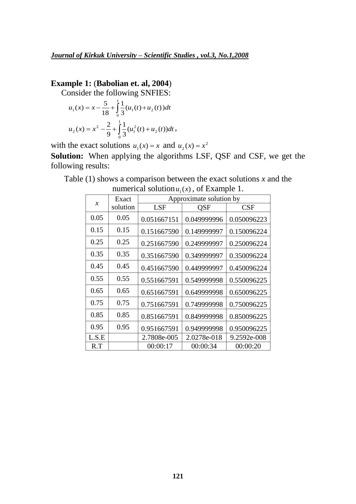# **Example 1:** (**Babolian et. al, 2004**)

Consider the following SNFIES:

$$
u_1(x) = x - \frac{5}{18} + \int_0^1 \frac{1}{3} (u_1(t) + u_2(t)) dt
$$
  

$$
u_2(x) = x^2 - \frac{2}{9} + \int_0^1 \frac{1}{3} (u_1^2(t) + u_2(t)) dt,
$$

with the exact solutions  $u_1(x) = x$  and  $u_2(x) = x^2$ 

**Solution:** When applying the algorithms LSF, QSF and CSF, we get the following results:

Table (1) shows a comparison between the exact solutions *x* and the numerical solution  $u_1(x)$ , of Example 1.

|                     | Exact    | Approximate solution by |             |             |  |
|---------------------|----------|-------------------------|-------------|-------------|--|
| $\boldsymbol{\chi}$ | solution | <b>LSF</b>              | QSF         | CSF         |  |
| 0.05                | 0.05     | 0.051667151             | 0.049999996 | 0.050096223 |  |
| 0.15                | 0.15     | 0.151667590             | 0.149999997 | 0.150096224 |  |
| 0.25                | 0.25     | 0.251667590             | 0.249999997 | 0.250096224 |  |
| 0.35                | 0.35     | 0.351667590             | 0.349999997 | 0.350096224 |  |
| 0.45                | 0.45     | 0.451667590             | 0.449999997 | 0.450096224 |  |
| 0.55                | 0.55     | 0.551667591             | 0.549999998 | 0.550096225 |  |
| 0.65                | 0.65     | 0.651667591             | 0.649999998 | 0.650096225 |  |
| 0.75                | 0.75     | 0.751667591             | 0.749999998 | 0.750096225 |  |
| 0.85                | 0.85     | 0.851667591             | 0.849999998 | 0.850096225 |  |
| 0.95                | 0.95     | 0.951667591             | 0.949999998 | 0.950096225 |  |
| L.S.E               |          | 2.7808e-005             | 2.0278e-018 | 9.2592e-008 |  |
| R.T                 |          | 00:00:17                | 00:00:34    | 00:00:20    |  |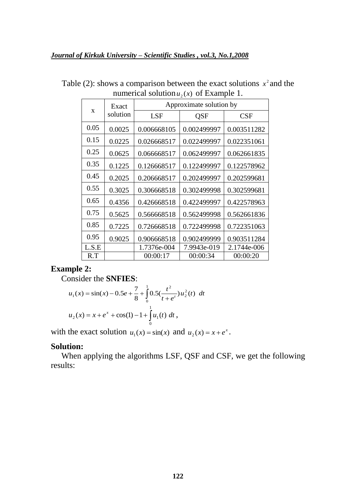| $\mathbf x$ | Exact    | Approximate solution by |             |             |  |
|-------------|----------|-------------------------|-------------|-------------|--|
|             | solution | <b>LSF</b><br>QSF       |             | <b>CSF</b>  |  |
| 0.05        | 0.0025   | 0.006668105             | 0.002499997 | 0.003511282 |  |
| 0.15        | 0.0225   | 0.026668517             | 0.022499997 | 0.022351061 |  |
| 0.25        | 0.0625   | 0.066668517             | 0.062499997 | 0.062661835 |  |
| 0.35        | 0.1225   | 0.126668517             | 0.122499997 | 0.122578962 |  |
| 0.45        | 0.2025   | 0.206668517             | 0.202499997 | 0.202599681 |  |
| 0.55        | 0.3025   | 0.306668518             | 0.302499998 | 0.302599681 |  |
| 0.65        | 0.4356   | 0.426668518             | 0.422499997 | 0.422578963 |  |
| 0.75        | 0.5625   | 0.566668518             | 0.562499998 | 0.562661836 |  |
| 0.85        | 0.7225   | 0.726668518             | 0.722499998 | 0.722351063 |  |
| 0.95        | 0.9025   | 0.906668518             | 0.902499999 | 0.903511284 |  |
| L.S.E       |          | 1.7376e-004             | 7.9943e-019 | 2.1744e-006 |  |
| R.T         |          | 00:00:17                | 00:00:34    | 00:00:20    |  |

Table (2): shows a comparison between the exact solutions  $x^2$  and the numerical solution  $u_2(x)$  of Example 1.

## **Example 2:**

Consider the **SNFIES**:

$$
u_1(x) = \sin(x) - 0.5e + \frac{7}{8} + \int_0^1 0.5(\frac{t^2}{t + e^t})u_2^2(t) dt
$$
  

$$
u_2(x) = x + e^x + \cos(1) - 1 + \int_0^1 u_1(t) dt,
$$

with the exact solution  $u_1(x) = \sin(x)$  and  $u_2(x) = x + e^x$ .

#### **Solution:**

 When applying the algorithms LSF, QSF and CSF, we get the following results: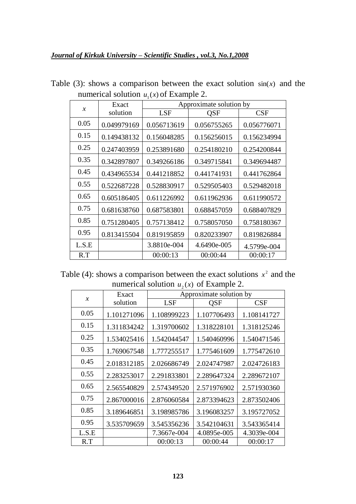| $\chi$ |       | Exact       | Approximate solution by |             |             |  |  |
|--------|-------|-------------|-------------------------|-------------|-------------|--|--|
|        |       | solution    | <b>LSF</b>              | QSF         | CSF         |  |  |
|        | 0.05  | 0.049979169 | 0.056713619             | 0.056755265 | 0.056776071 |  |  |
|        | 0.15  | 0.149438132 | 0.156048285             | 0.156256015 | 0.156234994 |  |  |
|        | 0.25  | 0.247403959 | 0.253891680             | 0.254180210 | 0.254200844 |  |  |
|        | 0.35  | 0.342897807 | 0.349266186             | 0.349715841 | 0.349694487 |  |  |
|        | 0.45  | 0.434965534 | 0.441218852             | 0.441741931 | 0.441762864 |  |  |
|        | 0.55  | 0.522687228 | 0.528830917             | 0.529505403 | 0.529482018 |  |  |
|        | 0.65  | 0.605186405 | 0.611226992             | 0.611962936 | 0.611990572 |  |  |
|        | 0.75  | 0.681638760 | 0.687583801             | 0.688457059 | 0.688407829 |  |  |
|        | 0.85  | 0.751280405 | 0.757138412             | 0.758057050 | 0.758180367 |  |  |
|        | 0.95  | 0.813415504 | 0.819195859             | 0.820233907 | 0.819826884 |  |  |
|        | L.S.E |             | 3.8810e-004             | 4.6490e-005 | 4.5799e-004 |  |  |
|        | R.T   |             | 00:00:13                | 00:00:44    | 00:00:17    |  |  |

Table  $(3)$ : shows a comparison between the exact solution  $sin(x)$  and the numerical solution  $u_1(x)$  of Example 2.

Table (4): shows a comparison between the exact solutions  $x^2$  and the numerical solution  $u_2(x)$  of Example 2.

|               | Exact       | Approximate solution by |             |             |  |  |
|---------------|-------------|-------------------------|-------------|-------------|--|--|
| $\mathcal{X}$ | solution    | <b>LSF</b>              | QSF         | CSF         |  |  |
| 0.05          | 1.101271096 | 1.108999223             | 1.107706493 | 1.108141727 |  |  |
| 0.15          | 1.311834242 | 1.319700602             | 1.318228101 | 1.318125246 |  |  |
| 0.25          | 1.534025416 | 1.542044547             | 1.540460996 | 1.540471546 |  |  |
| 0.35          | 1.769067548 | 1.777255517             | 1.775461609 | 1.775472610 |  |  |
| 0.45          | 2.018312185 | 2.026686749             | 2.024747987 | 2.024726183 |  |  |
| 0.55          | 2.283253017 | 2.291833801             | 2.289647324 | 2.289672107 |  |  |
| 0.65          | 2.565540829 | 2.574349520             | 2.571976902 | 2.571930360 |  |  |
| 0.75          | 2.867000016 | 2.876060584             | 2.873394623 | 2.873502406 |  |  |
| 0.85          | 3.189646851 | 3.198985786             | 3.196083257 | 3.195727052 |  |  |
| 0.95          | 3.535709659 | 3.545356236             | 3.542104631 | 3.543365414 |  |  |
| L.S.E         |             | 7.3667e-004             | 4.0895e-005 | 4.3039e-004 |  |  |
| R.T           |             | 00:00:13                | 00:00:44    | 00:00:17    |  |  |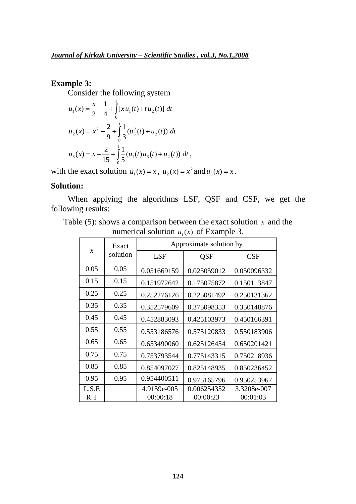## **Example 3:**

Consider the following system

$$
u_1(x) = \frac{x}{2} - \frac{1}{4} + \int_0^1 [x u_1(t) + t u_2(t)] dt
$$
  

$$
u_2(x) = x^2 - \frac{2}{9} + \int_0^1 \frac{1}{3} (u_3^2(t) + u_2(t)) dt
$$
  

$$
u_3(x) = x - \frac{2}{15} + \int_0^1 \frac{1}{5} (u_1(t) u_3(t) + u_2(t)) dt,
$$

with the exact solution  $u_1(x) = x$ ,  $u_2(x) = x^2$  and  $u_3(x) = x$ .

### **Solution:**

When applying the algorithms LSF, QSF and CSF, we get the following results:

Table (5): shows a comparison between the exact solution  $x$  and the numerical solution  $u_1(x)$  of Example 3.

| $\boldsymbol{\chi}$ | Exact    | Approximate solution by |             |             |  |
|---------------------|----------|-------------------------|-------------|-------------|--|
|                     | solution | <b>LSF</b><br>QSF       |             | CSF         |  |
| 0.05                | 0.05     | 0.051669159             | 0.025059012 | 0.050096332 |  |
| 0.15                | 0.15     | 0.151972642             | 0.175075872 | 0.150113847 |  |
| 0.25                | 0.25     | 0.252276126             | 0.225081492 | 0.250131362 |  |
| 0.35                | 0.35     | 0.352579609             | 0.375098353 | 0.350148876 |  |
| 0.45                | 0.45     | 0.452883093             | 0.425103973 | 0.450166391 |  |
| 0.55                | 0.55     | 0.553186576             | 0.575120833 | 0.550183906 |  |
| 0.65                | 0.65     | 0.653490060             | 0.625126454 | 0.650201421 |  |
| 0.75                | 0.75     | 0.753793544             | 0.775143315 | 0.750218936 |  |
| 0.85                | 0.85     | 0.854097027             | 0.825148935 | 0.850236452 |  |
| 0.95                | 0.95     | 0.954400511             | 0.975165796 | 0.950253967 |  |
| L.S.E               |          | 4.9159e-005             | 0.006254352 | 3.3208e-007 |  |
| R.T                 |          | 00:00:18                | 00:00:23    | 00:01:03    |  |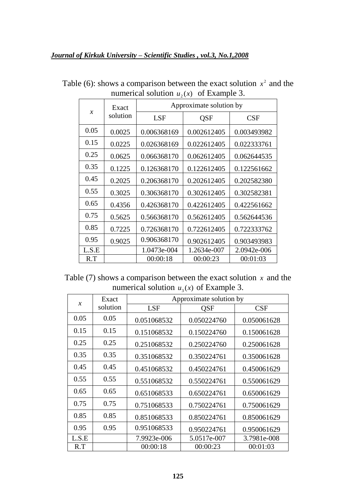| $\boldsymbol{\chi}$ | Exact    | Approximate solution by |             |             |  |
|---------------------|----------|-------------------------|-------------|-------------|--|
|                     | solution | <b>LSF</b><br>QSF       |             | CSF         |  |
| 0.05                | 0.0025   | 0.006368169             | 0.002612405 | 0.003493982 |  |
| 0.15                | 0.0225   | 0.026368169             | 0.022612405 | 0.022333761 |  |
| 0.25                | 0.0625   | 0.066368170             | 0.062612405 | 0.062644535 |  |
| 0.35                | 0.1225   | 0.126368170             | 0.122612405 | 0.122561662 |  |
| 0.45                | 0.2025   | 0.206368170             | 0.202612405 | 0.202582380 |  |
| 0.55                | 0.3025   | 0.306368170             | 0.302612405 | 0.302582381 |  |
| 0.65                | 0.4356   | 0.426368170             | 0.422612405 | 0.422561662 |  |
| 0.75                | 0.5625   | 0.566368170             | 0.562612405 | 0.562644536 |  |
| 0.85                | 0.7225   | 0.726368170             | 0.722612405 | 0.722333762 |  |
| 0.95                | 0.9025   | 0.906368170             | 0.902612405 | 0.903493983 |  |
| L.S.E               |          | 1.0473e-004             | 1.2634e-007 | 2.0942e-006 |  |
| R.T                 |          | 00:00:18                | 00:00:23    | 00:01:03    |  |

Table (6): shows a comparison between the exact solution  $x^2$  and the numerical solution  $u_2(x)$  of Example 3.

Table  $(7)$  shows a comparison between the exact solution  $x$  and the numerical solution  $u_3(x)$  of Example 3.

|               | Exact    | Approximate solution by  |             |             |  |  |
|---------------|----------|--------------------------|-------------|-------------|--|--|
| $\mathcal{X}$ | solution | <b>LSF</b><br><b>OSF</b> |             | CSF         |  |  |
| 0.05          | 0.05     | 0.051068532              | 0.050224760 | 0.050061628 |  |  |
| 0.15          | 0.15     | 0.151068532              | 0.150224760 | 0.150061628 |  |  |
| 0.25          | 0.25     | 0.251068532              | 0.250224760 | 0.250061628 |  |  |
| 0.35          | 0.35     | 0.351068532              | 0.350224761 | 0.350061628 |  |  |
| 0.45          | 0.45     | 0.451068532              | 0.450224761 | 0.450061629 |  |  |
| 0.55          | 0.55     | 0.551068532              | 0.550224761 | 0.550061629 |  |  |
| 0.65          | 0.65     | 0.651068533              | 0.650224761 | 0.650061629 |  |  |
| 0.75          | 0.75     | 0.751068533              | 0.750224761 | 0.750061629 |  |  |
| 0.85          | 0.85     | 0.851068533              | 0.850224761 | 0.850061629 |  |  |
| 0.95          | 0.95     | 0.951068533              | 0.950224761 | 0.950061629 |  |  |
| L.S.E         |          | 7.9923e-006              | 5.0517e-007 | 3.7981e-008 |  |  |
| R.T           |          | 00:00:18                 | 00:00:23    | 00:01:03    |  |  |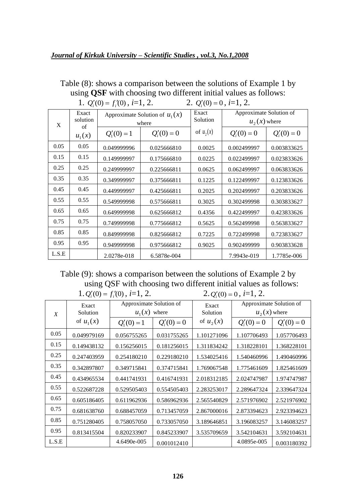#### *Journal of Kirkuk University – Scientific Studies , vol.3, No.1,2008*

| 1. $Q_i'(0) = f_i'(0)$ , $i=1, 2$ .<br>2. $Q_i'(0) = 0$ , $i=1, 2$ . |                                             |                                           |               |                   |                                           |               |  |
|----------------------------------------------------------------------|---------------------------------------------|-------------------------------------------|---------------|-------------------|-------------------------------------------|---------------|--|
| X                                                                    | Exact<br>solution<br>$\sigma$ f<br>$u_1(x)$ | Approximate Solution of $u_1(x)$<br>where |               | Exact<br>Solution | Approximate Solution of<br>$u_2(x)$ where |               |  |
|                                                                      |                                             | $Q'_1(0)=1$                               | $Q_i'(0) = 0$ | of $u_2(x)$       | $Q_i'(0) = 0$                             | $Q_i'(0) = 0$ |  |
| 0.05                                                                 | 0.05                                        | 0.049999996                               | 0.025666810   | 0.0025            | 0.002499997                               | 0.003833625   |  |
| 0.15                                                                 | 0.15                                        | 0.149999997                               | 0.175666810   | 0.0225            | 0.022499997                               | 0.023833626   |  |
| 0.25                                                                 | 0.25                                        | 0.249999997                               | 0.225666811   | 0.0625            | 0.062499997                               | 0.063833626   |  |
| 0.35                                                                 | 0.35                                        | 0.349999997                               | 0.375666811   | 0.1225            | 0.122499997                               | 0.123833626   |  |
| 0.45                                                                 | 0.45                                        | 0.449999997                               | 0.425666811   | 0.2025            | 0.202499997                               | 0.203833626   |  |
| 0.55                                                                 | 0.55                                        | 0.549999998                               | 0.575666811   | 0.3025            | 0.302499998                               | 0.303833627   |  |
| 0.65                                                                 | 0.65                                        | 0.649999998                               | 0.625666812   | 0.4356            | 0.422499997                               | 0.423833626   |  |
| 0.75                                                                 | 0.75                                        | 0.749999998                               | 0.775666812   | 0.5625            | 0.562499998                               | 0.563833627   |  |
| 0.85                                                                 | 0.85                                        | 0.849999998                               | 0.825666812   | 0.7225            | 0.722499998                               | 0.723833627   |  |
| 0.95                                                                 | 0.95                                        | 0.949999998                               | 0.975666812   | 0.9025            | 0.902499999                               | 0.903833628   |  |
| L.S.E                                                                |                                             | 2.0278e-018                               | 6.5878e-004   |                   | 7.9943e-019                               | 1.7785e-006   |  |

Table (8): shows a comparison between the solutions of Example 1 by using **QSF** with choosing two different initial values as follows:

Table (9): shows a comparison between the solutions of Example 2 by using QSF with choosing two different initial values as follows:  $1. Q'_i(0) = f'_i(0), i=1, 2.$  2.  $Q_i'(0) = 0$ , *i*=1, 2.

|                  | Exact       | Approximate Solution of<br>$u_1(x)$ where |               | Exact<br>Solution | Approximate Solution of |               |
|------------------|-------------|-------------------------------------------|---------------|-------------------|-------------------------|---------------|
| $\boldsymbol{X}$ | Solution    |                                           |               |                   | $u_2(x)$ where          |               |
|                  | of $u_1(x)$ | $Q'_1(0)=1$                               | $Q_i'(0) = 0$ | of $u_2(x)$       | $Q_i'(0) = 0$           | $Q_i'(0) = 0$ |
| 0.05             | 0.049979169 | 0.056755265                               | 0.031755265   | 1.101271096       | 1.107706493             | 1.057706493   |
| 0.15             | 0.149438132 | 0.156256015                               | 0.181256015   | 1.311834242       | 1.318228101             | 1.368228101   |
| 0.25             | 0.247403959 | 0.254180210                               | 0.229180210   | 1.534025416       | 1.540460996             | 1.490460996   |
| 0.35             | 0.342897807 | 0.349715841                               | 0.374715841   | 1.769067548       | 1.775461609             | 1.825461609   |
| 0.45             | 0.434965534 | 0.441741931                               | 0.416741931   | 2.018312185       | 2.024747987             | 1.974747987   |
| 0.55             | 0.522687228 | 0.529505403                               | 0.554505403   | 2.283253017       | 2.289647324             | 2.339647324   |
| 0.65             | 0.605186405 | 0.611962936                               | 0.586962936   | 2.565540829       | 2.571976902             | 2.521976902   |
| 0.75             | 0.681638760 | 0.688457059                               | 0.713457059   | 2.867000016       | 2.873394623             | 2.923394623   |
| 0.85             | 0.751280405 | 0.758057050                               | 0.733057050   | 3.189646851       | 3.196083257             | 3.146083257   |
| 0.95             | 0.813415504 | 0.820233907                               | 0.845233907   | 3.535709659       | 3.542104631             | 3.592104631   |
| L.S.E            |             | 4.6490e-005                               | 0.001012410   |                   | 4.0895e-005             | 0.003180392   |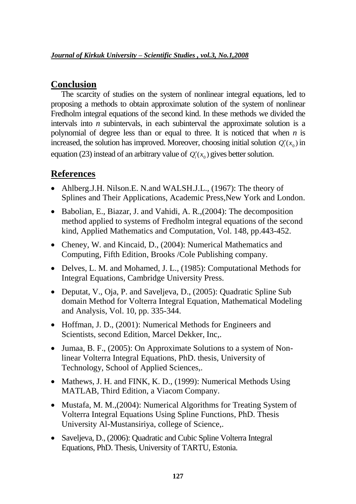# **Conclusion**

 The scarcity of studies on the system of nonlinear integral equations, led to proposing a methods to obtain approximate solution of the system of nonlinear Fredholm integral equations of the second kind. In these methods we divided the intervals into *n* subintervals, in each subinterval the approximate solution is a polynomial of degree less than or equal to three. It is noticed that when *n* is increased, the solution has improved. Moreover, choosing initial solution  $Q_i'(x_0)$  in equation (23) instead of an arbitrary value of  $Q_i'(x_0)$  gives better solution.

# **References**

- Ahlberg.J.H. Nilson.E. N.and WALSH.J.L., (1967): The theory of Splines and Their Applications, Academic Press,New York and London.
- Babolian, E., Biazar, J. and Vahidi, A. R., (2004): The decomposition method applied to systems of Fredholm integral equations of the second kind, Applied Mathematics and Computation, Vol. 148, pp.443-452.
- Cheney, W. and Kincaid, D., (2004): Numerical Mathematics and Computing, Fifth Edition, Brooks /Cole Publishing company.
- Delves, L. M. and Mohamed, J. L., (1985): Computational Methods for Integral Equations, Cambridge University Press.
- Deputat, V., Oja, P. and Saveljeva, D., (2005): Quadratic Spline Sub domain Method for Volterra Integral Equation, Mathematical Modeling and Analysis, Vol. 10, pp. 335-344.
- Hoffman, J. D., (2001): Numerical Methods for Engineers and Scientists, second Edition, Marcel Dekker, Inc,.
- Jumaa, B. F., (2005): On Approximate Solutions to a system of Nonlinear Volterra Integral Equations, PhD. thesis, University of Technology, School of Applied Sciences,.
- Mathews, J. H. and FINK, K. D., (1999): Numerical Methods Using MATLAB, Third Edition, a Viacom Company.
- Mustafa, M. M., (2004): Numerical Algorithms for Treating System of Volterra Integral Equations Using Spline Functions, PhD. Thesis University Al-Mustansiriya, college of Science,.
- Saveljeva, D., (2006): Quadratic and Cubic Spline Volterra Integral Equations, PhD. Thesis, University of TARTU, Estonia.